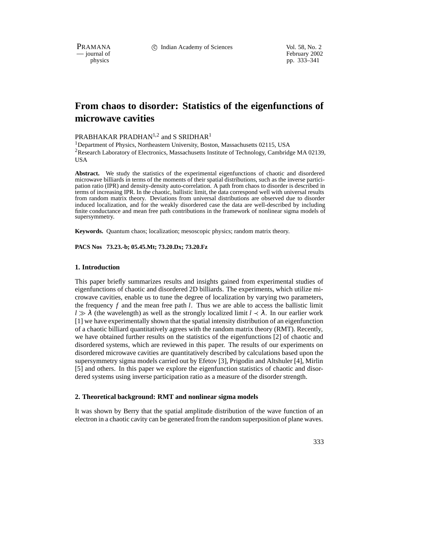PRAMANA 
<sup>C</sup> Indian Academy of Sciences Vol. 58, No. 2<br>
— iournal of February 2002

physics<br>
pp. 333–341<br>
pp. 333–341 pp. 333–341

# **From chaos to disorder: Statistics of the eigenfunctions of microwave cavities**

# PRABHAKAR PRADHAN<sup>1,2</sup> and S SRIDHAR<sup>1</sup>

<sup>1</sup>Department of Physics, Northeastern University, Boston, Massachusetts 02115, USA <sup>2</sup>Research Laboratory of Electronics, Massachusetts Institute of Technology, Cambridge MA 02139, **USA** 

**Abstract.** We study the statistics of the experimental eigenfunctions of chaotic and disordered microwave billiards in terms of the moments of their spatial distributions, such as the inverse participation ratio (IPR) and density-density auto-correlation. A path from chaos to disorder is described in terms of increasing IPR. In the chaotic, ballistic limit, the data correspond well with universal results from random matrix theory. Deviations from universal distributions are observed due to disorder induced localization, and for the weakly disordered case the data are well-described by including finite conductance and mean free path contributions in the framework of nonlinear sigma models of supersymmetry.

**Keywords.** Quantum chaos; localization; mesoscopic physics; random matrix theory.

**PACS Nos 73.23.-b; 05.45.Mt; 73.20.Dx; 73.20.Fz**

#### **1. Introduction**

This paper briefly summarizes results and insights gained from experimental studies of eigenfunctions of chaotic and disordered 2D billiards. The experiments, which utilize microwave cavities, enable us to tune the degree of localization by varying two parameters, the frequency  $f$  and the mean free path  $l$ . Thus we are able to access the ballistic limit  $l \gg \lambda$  (the wavelength) as well as the strongly localized limit  $l \prec \lambda$ . In our earlier work [1] we have experimentally shown that the spatial intensity distribution of an eigenfunction of a chaotic billiard quantitatively agrees with the random matrix theory (RMT). Recently, we have obtained further results on the statistics of the eigenfunctions [2] of chaotic and disordered systems, which are reviewed in this paper. The results of our experiments on disordered microwave cavities are quantitatively described by calculations based upon the supersymmetry sigma models carried out by Efetov [3], Prigodin and Altshuler [4], Mirlin [5] and others. In this paper we explore the eigenfunction statistics of chaotic and disordered systems using inverse participation ratio as a measure of the disorder strength.

## **2. Theoretical background: RMT and nonlinear sigma models**

It was shown by Berry that the spatial amplitude distribution of the wave function of an electron in a chaotic cavity can be generated from the random superposition of plane waves.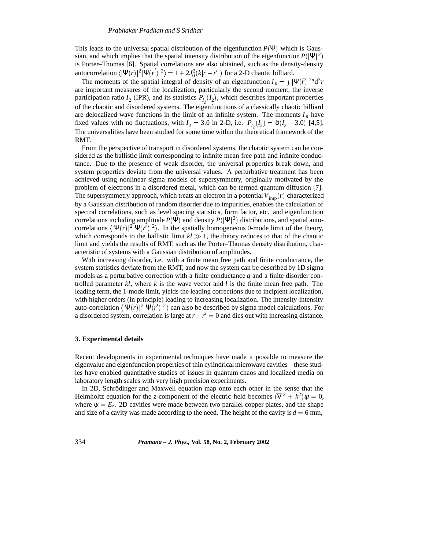This leads to the universal spatial distribution of the eigenfunction  $P(\Psi)$  which is Gaussian, and which implies that the spatial intensity distribution of the eigenfunction  $P(|\Psi|^2)$ is Porter–Thomas [6]. Spatial correlations are also obtained, such as the density-density autocorrelation  $\langle |\Psi(r)|^2 |\Psi(r')|^2 \rangle = 1 + 2J_0^2(k|r - r'|)$  for a 2-D chaotic billiard.

The moments of the spatial integral of density of an eigenfunction  $I_n = \int |\Psi(\bar{r})|^{2n} d^3r$ are important measures of the localization, particularly the second moment, the inverse participation ratio  $I_2$  (IPR), and its statistics  $P_{I_2}(I_2)$ , which describes important properties of the chaotic and disordered systems. The eigenfunctions of a classically chaotic billiard are delocalized wave functions in the limit of an infinite system. The moments  $I_n$  have fixed values with no fluctuations, with  $I_2 = 3.0$  in 2-D, i.e.  $P_{I_2}(I_2) = \delta(I_2 - 3.0)$  [4,5]. The universalities have been studied for some time within the theoretical framework of the RMT.

From the perspective of transport in disordered systems, the chaotic system can be considered as the ballistic limit corresponding to infinite mean free path and infinite conductance. Due to the presence of weak disorder, the universal properties break down, and system properties deviate from the universal values. A perturbative treatment has been achieved using nonlinear sigma models of supersymmetry, originally motivated by the problem of electrons in a disordered metal, which can be termed quantum diffusion [7]. The supersymmetry approach, which treats an electron in a potential  $V_{\text{imp}}(r)$  characterized by a Gaussian distribution of random disorder due to impurities, enables the calculation of spectral correlations, such as level spacing statistics, form factor, etc. and eigenfunction correlations including amplitude  $P(\Psi)$  and density  $P(|\Psi|^2)$  distributions, and spatial autocorrelations  $\langle |\Psi(r)|^2 |\Psi(r^{\bar{}})|^2 \rangle$ . In the spatially homogeneous 0-mode limit of the theory, which corresponds to the ballistic limit  $k \geq 1$ , the theory reduces to that of the chaotic limit and yields the results of RMT, such as the Porter–Thomas density distribution, characteristic of systems with a Gaussian distribution of amplitudes.

With increasing disorder, i.e. with a finite mean free path and finite conductance, the system statistics deviate from the RMT, and now the system can be described by 1D sigma models as a perturbative correction with a finite conductance *g* and a finite disorder controlled parameter  $kl$ , where  $k$  is the wave vector and  $l$  is the finite mean free path. The leading term, the 1-mode limit, yields the leading corrections due to incipient localization, with higher orders (in principle) leading to increasing localization. The intensity-intensity auto-correlation  $\langle |\Psi(r)|^2 |\Psi(r')|^2 \rangle$  can also be described by sigma model calculations. For a disordered system, correlation is large at  $r - r' = 0$  and dies out with increasing distance.

#### **3. Experimental details**

Recent developments in experimental techniques have made it possible to measure the eigenvalue and eigenfunction properties of thin cylindrical microwave cavities – these studies have enabled quantitative studies of issues in quantum chaos and localized media on laboratory length scales with very high precision experiments.

In 2D, Schrödinger and Maxwell equation map onto each other in the sense that the Helmholtz equation for the *z*-component of the electric field becomes  $(\nabla^2 + k^2)\psi = 0$ , where  $\psi = E_z$ . 2D cavities were made between two parallel copper plates, and the shape and size of a cavity was made according to the need. The height of the cavity is  $d = 6$  mm,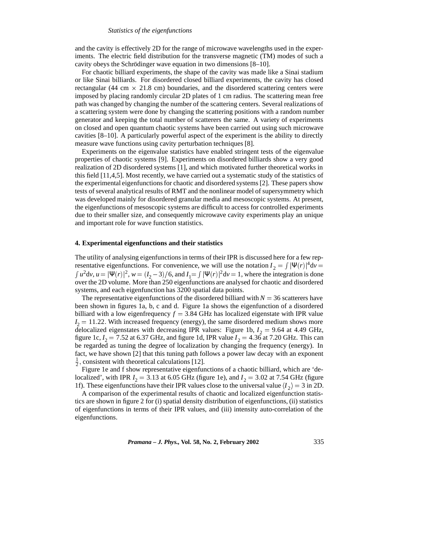#### *Statistics of the eigenfunctions*

and the cavity is effectively 2D for the range of microwave wavelengths used in the experiments. The electric field distribution for the transverse magnetic (TM) modes of such a cavity obeys the Schrödinger wave equation in two dimensions [8–10].

For chaotic billiard experiments, the shape of the cavity was made like a Sinai stadium or like Sinai billiards. For disordered closed billiard experiments, the cavity has closed rectangular (44 cm  $\times$  21.8 cm) boundaries, and the disordered scattering centers were imposed by placing randomly circular 2D plates of 1 cm radius. The scattering mean free path was changed by changing the number of the scattering centers. Several realizations of a scattering system were done by changing the scattering positions with a random number generator and keeping the total number of scatterers the same. A variety of experiments on closed and open quantum chaotic systems have been carried out using such microwave cavities [8–10]. A particularly powerful aspect of the experiment is the ability to directly measure wave functions using cavity perturbation techniques [8].

Experiments on the eigenvalue statistics have enabled stringent tests of the eigenvalue properties of chaotic systems [9]. Experiments on disordered billiards show a very good realization of 2D disordered systems [1], and which motivated further theoretical works in this field [11,4,5]. Most recently, we have carried out a systematic study of the statistics of the experimental eigenfunctions for chaotic and disordered systems [2]. These papers show tests of several analytical results of RMT and the nonlinear model of supersymmetry which was developed mainly for disordered granular media and mesoscopic systems. At present, the eigenfunctions of mesoscopic systems are difficult to access for controlled experiments due to their smaller size, and consequently microwave cavity experiments play an unique and important role for wave function statistics.

## **4. Experimental eigenfunctions and their statistics**

The utility of analysing eigenfunctions in terms of their IPR is discussed here for a few representative eigenfunctions. For convenience, we will use the notation  $I_2 = \int |\Psi(r)|^4 dv =$  $\int u^2 dv$ ,  $u = |\Psi(r)|^2$ ,  $w = (I_2 - 3)/6$ , and  $I_1 = \int |\Psi(r)|^2 dv = 1$ , where the integration is done over the 2D volume. More than 250 eigenfunctions are analysed for chaotic and disordered systems, and each eigenfunction has 3200 spatial data points.

The representative eigenfunctions of the disordered billiard with  $N = 36$  scatterers have been shown in figures 1a, b, c and d. Figure 1a shows the eigenfunction of a disordered billiard with a low eigenfrequency  $f = 3.84$  GHz has localized eigenstate with IPR value  $I_2 = 11.22$ . With increased frequency (energy), the same disordered medium shows more delocalized eigenstates with decreasing IPR values: Figure 1b,  $I_2 = 9.64$  at 4.49 GHz, figure 1c,  $I_2 = 7.52$  at 6.37 GHz, and figure 1d, IPR value  $I_2 = 4.36$  at 7.20 GHz. This can be regarded as tuning the degree of localization by changing the frequency (energy). In fact, we have shown [2] that this tuning path follows a power law decay with an exponent  $\frac{1}{2}$ , consistent with theoretical calculations [12].

Figure 1e and f show representative eigenfunctions of a chaotic billiard, which are 'delocalized', with IPR  $I_2 = 3.13$  at 6.05 GHz (figure 1e), and  $I_2 = 3.02$  at 7.54 GHz (figure 1f). These eigenfunctions have their IPR values close to the universal value  $\langle I_2 \rangle = 3$  in 2D.

A comparison of the experimental results of chaotic and localized eigenfunction statistics are shown in figure 2 for (i) spatial density distribution of eigenfunctions, (ii) statistics of eigenfunctions in terms of their IPR values, and (iii) intensity auto-correlation of the eigenfunctions.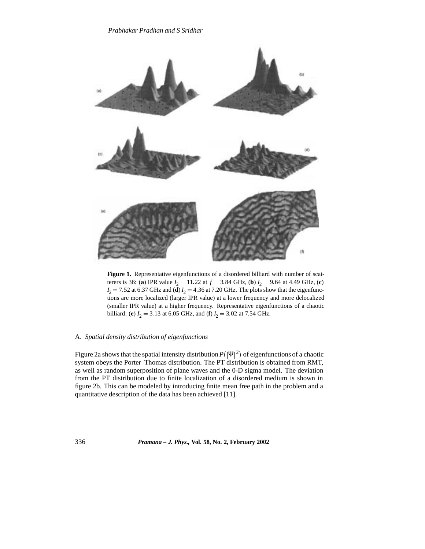

**Figure 1.** Representative eigenfunctions of a disordered billiard with number of scatterers is 36: (a) IPR value  $I_2 = 11.22$  at  $f = 3.84$  GHz, (b)  $I_2 = 9.64$  at 4.49 GHz, (c)  $I_2$  = 7.52 at 6.37 GHz and (**d**)  $I_2$  = 4.36 at 7.20 GHz. The plots show that the eigenfunctions are more localized (larger IPR value) at a lower frequency and more delocalized (smaller IPR value) at a higher frequency. Representative eigenfunctions of a chaotic billiard: (**e**)  $I_2 = 3.13$  at 6.05 GHz, and (**f**)  $I_2 = 3.02$  at 7.54 GHz.

## A. *Spatial density distribution of eigenfunctions*

Figure 2a shows that the spatial intensity distribution  $P(|\Psi|^2)$  of eigenfunctions of a chaotic system obeys the Porter–Thomas distribution. The PT distribution is obtained from RMT, as well as random superposition of plane waves and the 0-D sigma model. The deviation from the PT distribution due to finite localization of a disordered medium is shown in figure 2b. This can be modeled by introducing finite mean free path in the problem and a quantitative description of the data has been achieved [11].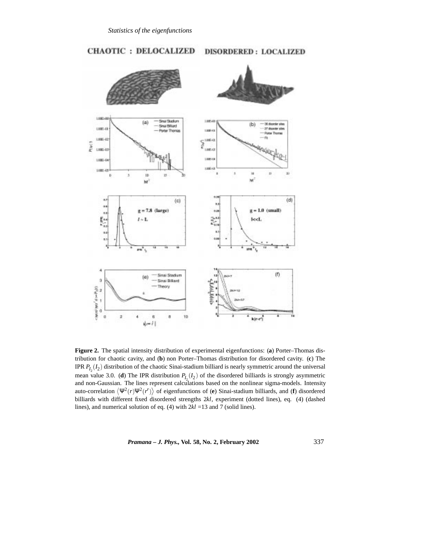

**DISORDERED: LOCALIZED** 



**Figure 2.** The spatial intensity distribution of experimental eigenfunctions: (**a**) Porter–Thomas distribution for chaotic cavity, and (**b**) non Porter–Thomas distribution for disordered cavity. (**c**) The IPR  $P_{I_2}(I_2)$  distribution of the chaotic Sinai-stadium billiard is nearly symmetric around the universal mean value 3.0. (**d**) The IPR distribution  $P_{I_2}(I_2)$  of the disordered billiards is strongly asymmetric and non-Gaussian. The lines represent calculations based on the nonlinear sigma-models. Intensity auto-correlation  $\langle \Psi^2(r) \Psi^2(r') \rangle$  of eigenfunctions of (e) Sinai-stadium billiards, and (f) disordered billiards with different fixed disordered strengths 2*kl*, experiment (dotted lines), eq. (4) (dashed lines), and numerical solution of eq. (4) with 2*kl* =13 and 7 (solid lines).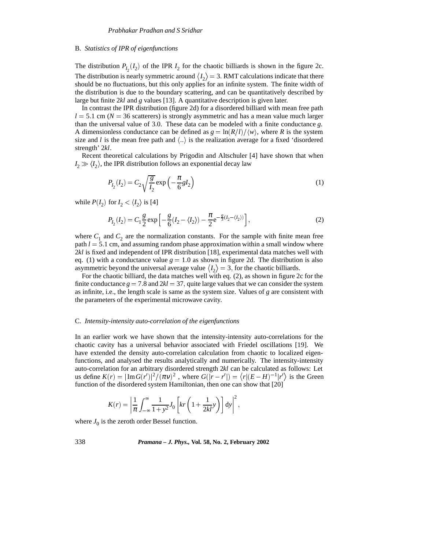#### B. *Statistics of IPR of eigenfunctions*

The distribution  $P_{I_2}(I_2)$  of the IPR  $I_2$  for the chaotic billiards is shown in the figure 2c. The distribution is nearly symmetric around  $\langle I_2 \rangle = 3$ . RMT calculations indicate that there should be no fluctuations, but this only applies for an infinite system. The finite width of the distribution is due to the boundary scattering, and can be quantitatively described by large but finite 2*kl* and *g* values [13]. A quantitative description is given later.

In contrast the IPR distribution (figure 2d) for a disordered billiard with mean free path  $l = 5.1$  cm ( $N = 36$  scatterers) is strongly asymmetric and has a mean value much larger than the universal value of 3:0. These data can be modeled with a finite conductance *g*. A dimensionless conductance can be defined as  $g = \ln(R/l)/\langle w \rangle$ , where *R* is the system size and *l* is the mean free path and  $\langle \cdot \rangle$  is the realization average for a fixed 'disordered strength' 2*kl*.

Recent theoretical calculations by Prigodin and Altschuler [4] have shown that when  $I_2 \gg \langle I_2 \rangle$ , the IPR distribution follows an exponential decay law

$$
P_{I_2}(I_2) = C_2 \sqrt{\frac{g}{I_2}} \exp\left(-\frac{\pi}{6} g I_2\right) \tag{1}
$$

while  $P(I_2)$  for  $I_2 < \langle I_2 \rangle$  is [4]

$$
P_{I_2}(I_2) = C_1 \frac{g}{2} \exp \left[ -\frac{g}{6} (I_2 - \langle I_2 \rangle) - \frac{\pi}{2} e^{-\frac{g}{3}(I_2 - \langle I_2 \rangle)} \right],
$$
 (2)

where  $C_1$  and  $C_2$  are the normalization constants. For the sample with finite mean free path  $l = 5.1$  cm, and assuming random phase approximation within a small window where 2*kl* is fixed and independent of IPR distribution [18], experimental data matches well with eq. (1) with a conductance value  $g = 1.0$  as shown in figure 2d. The distribution is also asymmetric beyond the universal average value  $\langle I_2 \rangle = 3$ , for the chaotic billiards.

For the chaotic billiard, the data matches well with eq. (2), as shown in figure 2c for the finite conductance  $g = 7.8$  and  $2kl = 37$ , quite large values that we can consider the system as infinite, i.e., the length scale is same as the system size. Values of *g* are consistent with the parameters of the experimental microwave cavity.

#### C. *Intensity-intensity auto-correlation of the eigenfunctions*

In an earlier work we have shown that the intensity-intensity auto-correlations for the chaotic cavity has a universal behavior associated with Friedel oscillations [19]. We have extended the density auto-correlation calculation from chaotic to localized eigenfunctions, and analysed the results analytically and numerically. The intensity-intensity auto-correlation for an arbitrary disordered strength 2*kl* can be calculated as follows: Let us define  $K(r) = |\text{Im } G(r')|^2 / (\pi v)^2$ , where  $G(|r-r'|) = \langle r | (E-H)^{-1} | r' \rangle$  is the Green function of the disordered system Hamiltonian, then one can show that [20]

$$
K(r) = \left| \frac{1}{\pi} \int_{-\infty}^{\infty} \frac{1}{1 + y^2} J_0\left[ kr \left( 1 + \frac{1}{2kl} y \right) \right] dy \right|^2,
$$

where  $J_0$  is the zeroth order Bessel function.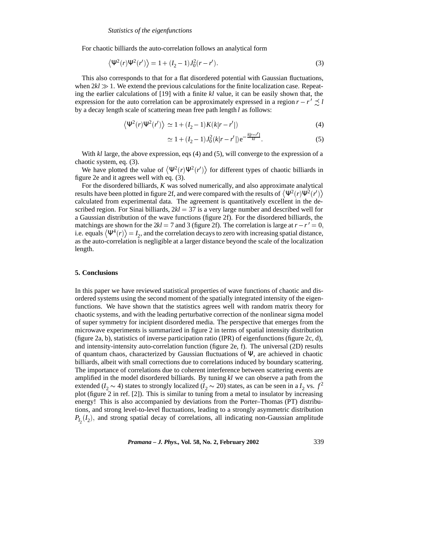For chaotic billiards the auto-correlation follows an analytical form

$$
\langle \Psi^2(r)\Psi^2(r') \rangle = 1 + (I_2 - 1)J_0^2(r - r'). \tag{3}
$$

This also corresponds to that for a flat disordered potential with Gaussian fluctuations, when  $2kl \gg 1$ . We extend the previous calculations for the finite localization case. Repeating the earlier calculations of [19] with a finite *kl* value, it can be easily shown that, the expression for the auto correlation can be approximately expressed in a region  $r - r' \preceq l$ by a decay length scale of scattering mean free path length *l* as follows:

$$
\langle \Psi^2(r)\Psi^2(r')\rangle \simeq 1 + (I_2 - 1)K(k|r - r'|)
$$
\n(4)

$$
\simeq 1 + (I_2 - 1)J_0^2(k|r - r'|)e^{-\frac{k|r - r'|}{kt}}.\tag{5}
$$

With *kl* large, the above expression, eqs (4) and (5), will converge to the expression of a chaotic system, eq. (3).

We have plotted the value of  $\langle \Psi^2(r) \Psi^2(r') \rangle$  for different types of chaotic billiards in figure 2e and it agrees well with eq. (3).

For the disordered billiards, *K* was solved numerically, and also approximate analytical results have been plotted in figure 2f, and were compared with the results of  $\langle \Psi^2(r) \Psi^2(r') \rangle$ calculated from experimental data. The agreement is quantitatively excellent in the described region. For Sinai billiards,  $2kl = 37$  is a very large number and described well for a Gaussian distribution of the wave functions (figure 2f). For the disordered billiards, the matchings are shown for the  $2kl = 7$  and 3 (figure 2f). The correlation is large at  $r - r' = 0$ , i.e. equals  $\langle \Psi^4(r) \rangle = I_2$ , and the correlation decays to zero with increasing spatial distance, as the auto-correlation is negligible at a larger distance beyond the scale of the localization length.

## **5. Conclusions**

In this paper we have reviewed statistical properties of wave functions of chaotic and disordered systems using the second moment of the spatially integrated intensity of the eigenfunctions. We have shown that the statistics agrees well with random matrix theory for chaotic systems, and with the leading perturbative correction of the nonlinear sigma model of super symmetry for incipient disordered media. The perspective that emerges from the microwave experiments is summarized in figure 2 in terms of spatial intensity distribution (figure 2a, b), statistics of inverse participation ratio (IPR) of eigenfunctions (figure 2c, d), and intensity-intensity auto-correlation function (figure 2e, f). The universal (2D) results of quantum chaos, characterized by Gaussian fluctuations of Ψ, are achieved in chaotic billiards, albeit with small corrections due to correlations induced by boundary scattering. The importance of correlations due to coherent interference between scattering events are amplified in the model disordered billiards. By tuning *kl* we can observe a path from the extended ( $I_2 \sim 4$ ) states to strongly localized ( $I_2 \sim 20$ ) states, as can be seen in a  $I_2$  vs.  $f^2$ plot (figure 2 in ref. [2]). This is similar to tuning from a metal to insulator by increasing energy! This is also accompanied by deviations from the Porter–Thomas (PT) distributions, and strong level-to-level fluctuations, leading to a strongly asymmetric distribution  $P_{I_2}(I_2)$ , and strong spatial decay of correlations, all indicating non-Gaussian amplitude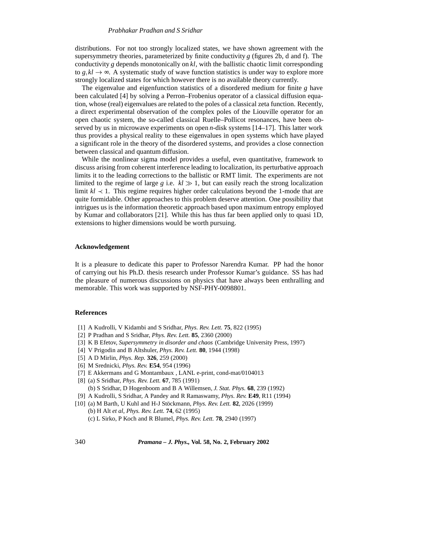## *Prabhakar Pradhan and S Sridhar*

distributions. For not too strongly localized states, we have shown agreement with the supersymmetry theories, parameterized by finite conductivity *g* (figures 2b, d and f). The conductivity *g* depends monotonically on *kl*, with the ballistic chaotic limit corresponding to  $g, k l \rightarrow \infty$ . A systematic study of wave function statistics is under way to explore more strongly localized states for which however there is no available theory currently.

The eigenvalue and eigenfunction statistics of a disordered medium for finite *g* have been calculated [4] by solving a Perron–Frobenius operator of a classical diffusion equation, whose (real) eigenvalues are related to the poles of a classical zeta function. Recently, a direct experimental observation of the complex poles of the Liouville operator for an open chaotic system, the so-called classical Ruelle–Pollicot resonances, have been observed by us in microwave experiments on open *n*-disk systems [14–17]. This latter work thus provides a physical reality to these eigenvalues in open systems which have played a significant role in the theory of the disordered systems, and provides a close connection between classical and quantum diffusion.

While the nonlinear sigma model provides a useful, even quantitative, framework to discuss arising from coherent interference leading to localization, its perturbative approach limits it to the leading corrections to the ballistic or RMT limit. The experiments are not limited to the regime of large *g* i.e.  $kl \gg 1$ , but can easily reach the strong localization limit  $kl \leq 1$ . This regime requires higher order calculations beyond the 1-mode that are quite formidable. Other approaches to this problem deserve attention. One possibility that intrigues us is the information theoretic approach based upon maximum entropy employed by Kumar and collaborators [21]. While this has thus far been applied only to quasi 1D, extensions to higher dimensions would be worth pursuing.

## **Acknowledgement**

It is a pleasure to dedicate this paper to Professor Narendra Kumar. PP had the honor of carrying out his Ph.D. thesis research under Professor Kumar's guidance. SS has had the pleasure of numerous discussions on physics that have always been enthralling and memorable. This work was supported by NSF-PHY-0098801.

## **References**

- [1] A Kudrolli, V Kidambi and S Sridhar, *Phys. Rev. Lett.* **75**, 822 (1995)
- [2] P Pradhan and S Sridhar, *Phys. Rev. Lett.* **85**, 2360 (2000)
- [3] K B Efetov, *Supersymmetry in disorder and chaos* (Cambridge University Press, 1997)
- [4] V Prigodin and B Altshuler, *Phys. Rev. Lett.* **80**, 1944 (1998)
- [5] A D Mirlin, *Phys. Rep.* **326**, 259 (2000)
- [6] M Srednicki, *Phys. Rev.* **E54**, 954 (1996)
- [7] E Akkermans and G Montambaux , LANL e-print, cond-mat/0104013
- [8] (a) S Sridhar, *Phys. Rev. Lett.* **67**, 785 (1991)
	- (b) S Sridhar, D Hogenboom and B A Willemsen, *J. Stat. Phys.* **68**, 239 (1992)
- [9] A Kudrolli, S Sridhar, A Pandey and R Ramaswamy, *Phys. Rev.* **E49**, R11 (1994)
- [10] (a) M Barth, U Kuhl and H-J Stöckmann, *Phys. Rev. Lett.* **82**, 2026 (1999) (b) H Alt *et al*, *Phys. Rev. Lett.* **74**, 62 (1995) (c) L Sirko, P Koch and R Blumel, *Phys. Rev. Lett.* **78**, 2940 (1997)